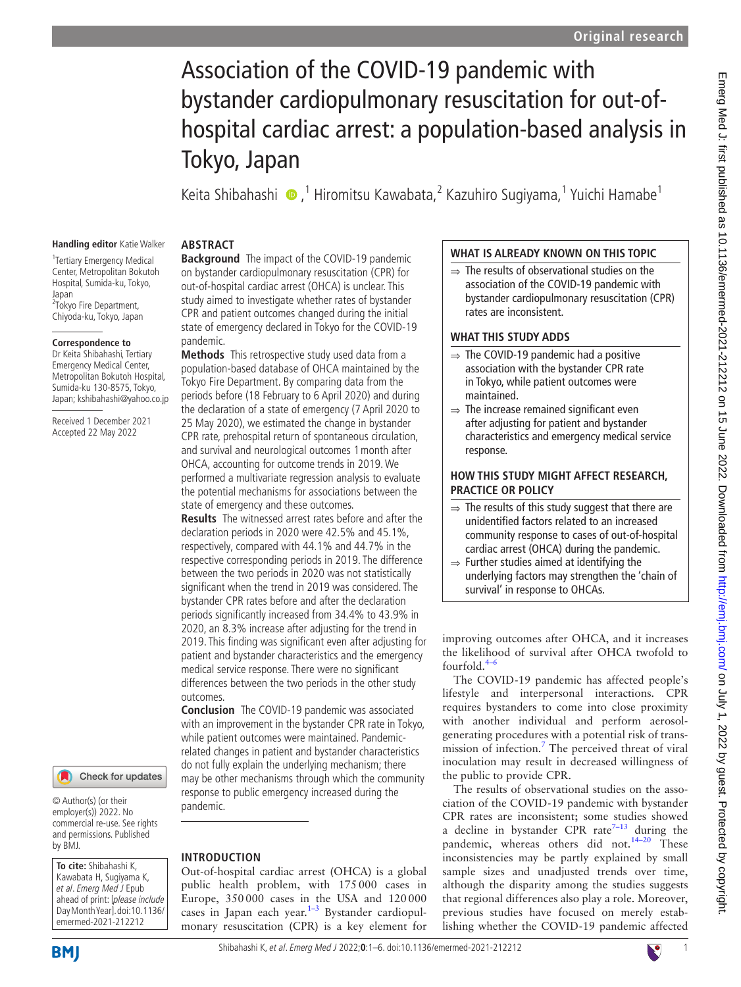# Association of the COVID-19 pandemic with bystander cardiopulmonary resuscitation for out-ofhospital cardiac arrest: a population-based analysis in Tokyo, Japan

KeitaShibahashi (D,<sup>1</sup> Hiromitsu Kawabata,<sup>2</sup> Kazuhiro Sugiyama,<sup>1</sup> Yuichi Hamabe<sup>1</sup>

#### **Handling editor** Katie Walker **ABSTRACT**

1 Tertiary Emergency Medical Center, Metropolitan Bokutoh Hospital, Sumida-ku, Tokyo, lanan <sup>2</sup>Tokyo Fire Department, Chiyoda-ku, Tokyo, Japan

#### **Correspondence to**

Dr Keita Shibahashi, Tertiary Emergency Medical Center, Metropolitan Bokutoh Hospital Sumida-ku 130-8575, Tokyo, Japan; kshibahashi@yahoo.co.jp

Received 1 December 2021 Accepted 22 May 2022

# Check for updates

© Author(s) (or their employer(s)) 2022. No commercial re-use. See rights and permissions. Published by BMJ.

**To cite:** Shibahashi K, Kawabata H, Sugiyama K, et al. Emerg Med J Epub ahead of print: [please include Day Month Year]. doi:10.1136/ emermed-2021-212212

**BMI** 

**Background** The impact of the COVID-19 pandemic on bystander cardiopulmonary resuscitation (CPR) for out-of-hospital cardiac arrest (OHCA) is unclear. This study aimed to investigate whether rates of bystander CPR and patient outcomes changed during the initial state of emergency declared in Tokyo for the COVID-19 pandemic.

**Methods** This retrospective study used data from a population-based database of OHCA maintained by the Tokyo Fire Department. By comparing data from the periods before (18 February to 6 April 2020) and during the declaration of a state of emergency (7 April 2020 to 25 May 2020), we estimated the change in bystander CPR rate, prehospital return of spontaneous circulation, and survival and neurological outcomes 1month after OHCA, accounting for outcome trends in 2019. We performed a multivariate regression analysis to evaluate the potential mechanisms for associations between the state of emergency and these outcomes.

**Results** The witnessed arrest rates before and after the declaration periods in 2020 were 42.5% and 45.1%, respectively, compared with 44.1% and 44.7% in the respective corresponding periods in 2019. The difference between the two periods in 2020 was not statistically significant when the trend in 2019 was considered. The bystander CPR rates before and after the declaration periods significantly increased from 34.4% to 43.9% in 2020, an 8.3% increase after adjusting for the trend in 2019. This finding was significant even after adjusting for patient and bystander characteristics and the emergency medical service response. There were no significant differences between the two periods in the other study outcomes.

**Conclusion** The COVID-19 pandemic was associated with an improvement in the bystander CPR rate in Tokyo, while patient outcomes were maintained. Pandemicrelated changes in patient and bystander characteristics do not fully explain the underlying mechanism; there may be other mechanisms through which the community response to public emergency increased during the pandemic.

#### **INTRODUCTION**

Out-of-hospital cardiac arrest (OHCA) is a global public health problem, with 175000 cases in Europe, 350000 cases in the USA and 120000 cases in Japan each year. [1–3](#page-5-0) Bystander cardiopulmonary resuscitation (CPR) is a key element for

## **WHAT IS ALREADY KNOWN ON THIS TOPIC**

 $\Rightarrow$  The results of observational studies on the association of the COVID-19 pandemic with bystander cardiopulmonary resuscitation (CPR) rates are inconsistent.

#### **WHAT THIS STUDY ADDS**

- $\Rightarrow$  The COVID-19 pandemic had a positive association with the bystander CPR rate in Tokyo, while patient outcomes were maintained.
- $\Rightarrow$  The increase remained significant even after adjusting for patient and bystander characteristics and emergency medical service response.

## **HOW THIS STUDY MIGHT AFFECT RESEARCH, PRACTICE OR POLICY**

- $\Rightarrow$  The results of this study suggest that there are unidentified factors related to an increased community response to cases of out-of-hospital cardiac arrest (OHCA) during the pandemic.
- $\Rightarrow$  Further studies aimed at identifying the underlying factors may strengthen the 'chain of survival' in response to OHCAs.

improving outcomes after OHCA, and it increases the likelihood of survival after OHCA twofold to fourfold. $4-6$ 

The COVID-19 pandemic has affected people's lifestyle and interpersonal interactions. CPR requires bystanders to come into close proximity with another individual and perform aerosolgenerating procedures with a potential risk of transmission of infection.[7](#page-5-2) The perceived threat of viral inoculation may result in decreased willingness of the public to provide CPR.

The results of observational studies on the association of the COVID-19 pandemic with bystander CPR rates are inconsistent; some studies showed a decline in bystander CPR rate<sup>7-13</sup> during the pandemic, whereas others did not.<sup>14-20</sup> These inconsistencies may be partly explained by small sample sizes and unadjusted trends over time, although the disparity among the studies suggests that regional differences also play a role. Moreover, previous studies have focused on merely establishing whether the COVID-19 pandemic affected

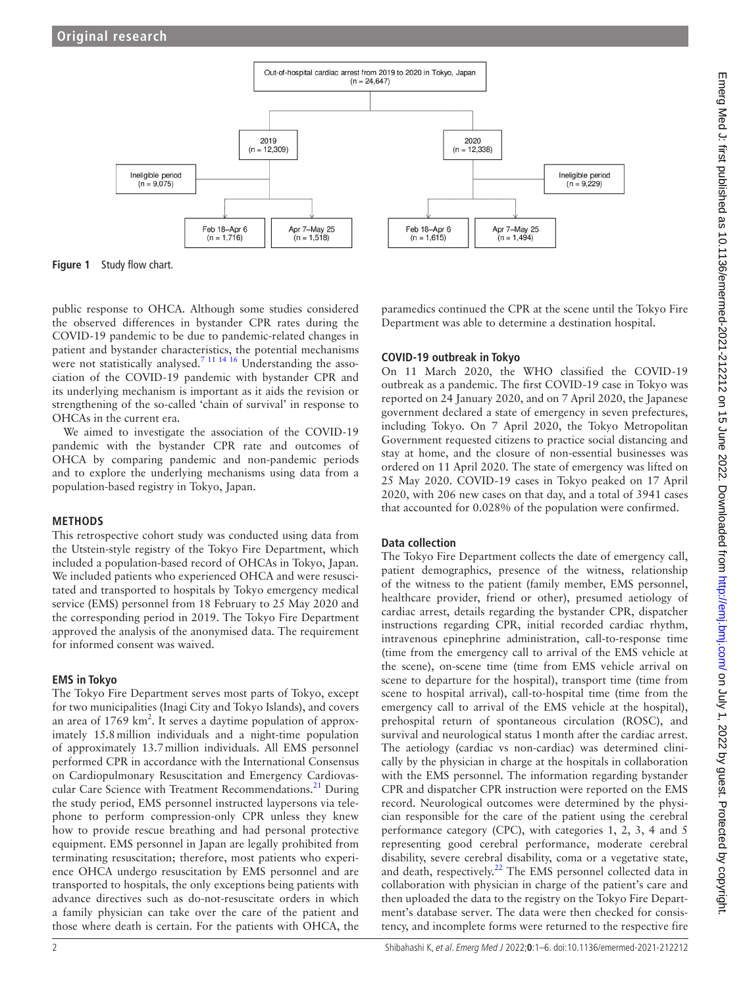

<span id="page-1-0"></span>**Figure 1** Study flow chart.

public response to OHCA. Although some studies considered the observed differences in bystander CPR rates during the COVID-19 pandemic to be due to pandemic-related changes in patient and bystander characteristics, the potential mechanisms were not statistically analysed.<sup>7 11 14 16</sup> Understanding the association of the COVID-19 pandemic with bystander CPR and its underlying mechanism is important as it aids the revision or strengthening of the so-called 'chain of survival' in response to OHCAs in the current era.

We aimed to investigate the association of the COVID-19 pandemic with the bystander CPR rate and outcomes of OHCA by comparing pandemic and non-pandemic periods and to explore the underlying mechanisms using data from a population-based registry in Tokyo, Japan.

## **METHODS**

This retrospective cohort study was conducted using data from the Utstein-style registry of the Tokyo Fire Department, which included a population-based record of OHCAs in Tokyo, Japan. We included patients who experienced OHCA and were resuscitated and transported to hospitals by Tokyo emergency medical service (EMS) personnel from 18 February to 25 May 2020 and the corresponding period in 2019. The Tokyo Fire Department approved the analysis of the anonymised data. The requirement for informed consent was waived.

## **EMS in Tokyo**

The Tokyo Fire Department serves most parts of Tokyo, except for two municipalities (Inagi City and Tokyo Islands), and covers an area of  $1769 \text{ km}^2$ . It serves a daytime population of approximately 15.8million individuals and a night-time population of approximately 13.7million individuals. All EMS personnel performed CPR in accordance with the International Consensus on Cardiopulmonary Resuscitation and Emergency Cardiovascular Care Science with Treatment Recommendations.<sup>21</sup> During the study period, EMS personnel instructed laypersons via telephone to perform compression-only CPR unless they knew how to provide rescue breathing and had personal protective equipment. EMS personnel in Japan are legally prohibited from terminating resuscitation; therefore, most patients who experience OHCA undergo resuscitation by EMS personnel and are transported to hospitals, the only exceptions being patients with advance directives such as do-not-resuscitate orders in which a family physician can take over the care of the patient and those where death is certain. For the patients with OHCA, the

paramedics continued the CPR at the scene until the Tokyo Fire Department was able to determine a destination hospital.

# **COVID-19 outbreak in Tokyo**

On 11 March 2020, the WHO classified the COVID-19 outbreak as a pandemic. The first COVID-19 case in Tokyo was reported on 24 January 2020, and on 7 April 2020, the Japanese government declared a state of emergency in seven prefectures, including Tokyo. On 7 April 2020, the Tokyo Metropolitan Government requested citizens to practice social distancing and stay at home, and the closure of non-essential businesses was ordered on 11 April 2020. The state of emergency was lifted on 25 May 2020. COVID-19 cases in Tokyo peaked on 17 April 2020, with 206 new cases on that day, and a total of 3941 cases that accounted for 0.028% of the population were confirmed.

## **Data collection**

The Tokyo Fire Department collects the date of emergency call, patient demographics, presence of the witness, relationship of the witness to the patient (family member, EMS personnel, healthcare provider, friend or other), presumed aetiology of cardiac arrest, details regarding the bystander CPR, dispatcher instructions regarding CPR, initial recorded cardiac rhythm, intravenous epinephrine administration, call-to-response time (time from the emergency call to arrival of the EMS vehicle at the scene), on-scene time (time from EMS vehicle arrival on scene to departure for the hospital), transport time (time from scene to hospital arrival), call-to-hospital time (time from the emergency call to arrival of the EMS vehicle at the hospital), prehospital return of spontaneous circulation (ROSC), and survival and neurological status 1month after the cardiac arrest. The aetiology (cardiac vs non-cardiac) was determined clinically by the physician in charge at the hospitals in collaboration with the EMS personnel. The information regarding bystander CPR and dispatcher CPR instruction were reported on the EMS record. Neurological outcomes were determined by the physician responsible for the care of the patient using the cerebral performance category (CPC), with categories 1, 2, 3, 4 and 5 representing good cerebral performance, moderate cerebral disability, severe cerebral disability, coma or a vegetative state, and death, respectively. $^{22}$  $^{22}$  $^{22}$  The EMS personnel collected data in collaboration with physician in charge of the patient's care and then uploaded the data to the registry on the Tokyo Fire Department's database server. The data were then checked for consistency, and incomplete forms were returned to the respective fire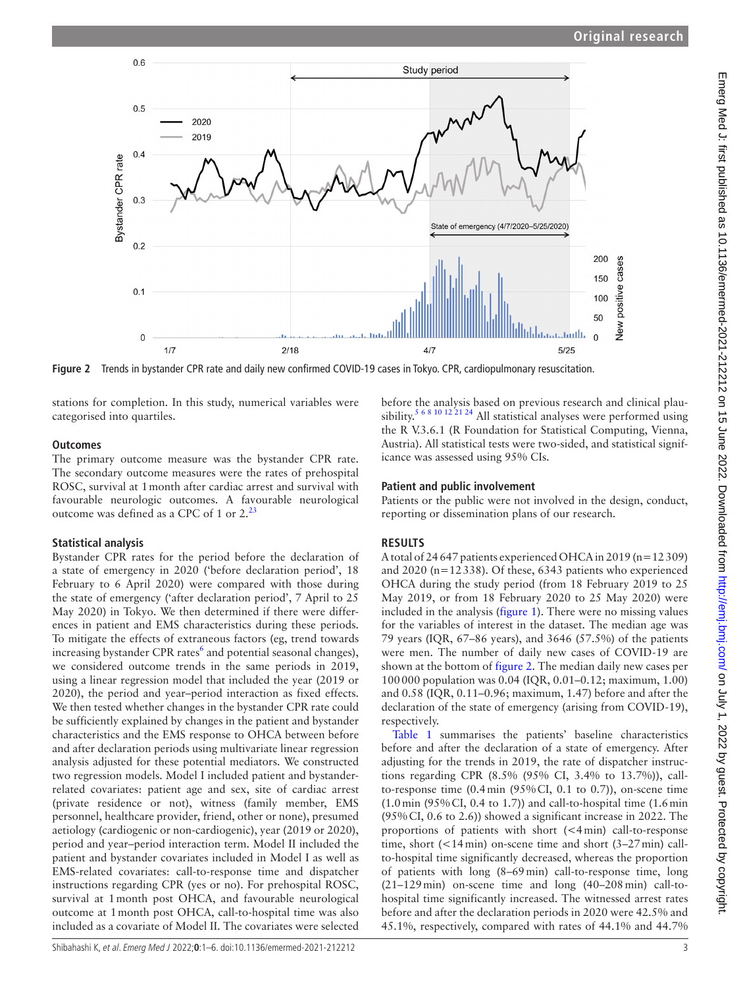

<span id="page-2-0"></span>**Figure 2** Trends in bystander CPR rate and daily new confirmed COVID-19 cases in Tokyo. CPR, cardiopulmonary resuscitation.

stations for completion. In this study, numerical variables were categorised into quartiles.

## **Outcomes**

The primary outcome measure was the bystander CPR rate. The secondary outcome measures were the rates of prehospital ROSC, survival at 1month after cardiac arrest and survival with favourable neurologic outcomes. A favourable neurological outcome was defined as a CPC of 1 or 2.<sup>[23](#page-5-6)</sup>

# **Statistical analysis**

Bystander CPR rates for the period before the declaration of a state of emergency in 2020 ('before declaration period', 18 February to 6 April 2020) were compared with those during the state of emergency ('after declaration period', 7 April to 25 May 2020) in Tokyo. We then determined if there were differences in patient and EMS characteristics during these periods. To mitigate the effects of extraneous factors (eg, trend towards increasing bystander CPR rates<sup>[6](#page-5-7)</sup> and potential seasonal changes), we considered outcome trends in the same periods in 2019, using a linear regression model that included the year (2019 or 2020), the period and year–period interaction as fixed effects. We then tested whether changes in the bystander CPR rate could be sufficiently explained by changes in the patient and bystander characteristics and the EMS response to OHCA between before and after declaration periods using multivariate linear regression analysis adjusted for these potential mediators. We constructed two regression models. Model I included patient and bystanderrelated covariates: patient age and sex, site of cardiac arrest (private residence or not), witness (family member, EMS personnel, healthcare provider, friend, other or none), presumed aetiology (cardiogenic or non-cardiogenic), year (2019 or 2020), period and year–period interaction term. Model II included the patient and bystander covariates included in Model I as well as EMS-related covariates: call-to-response time and dispatcher instructions regarding CPR (yes or no). For prehospital ROSC, survival at 1month post OHCA, and favourable neurological outcome at 1month post OHCA, call-to-hospital time was also included as a covariate of Model II. The covariates were selected

before the analysis based on previous research and clinical plau-sibility.<sup>[5 6 8 10 12 21 24](#page-5-8)</sup> All statistical analyses were performed using the R V.3.6.1 (R Foundation for Statistical Computing, Vienna, Austria). All statistical tests were two-sided, and statistical significance was assessed using 95% CIs.

# **Patient and public involvement**

Patients or the public were not involved in the design, conduct, reporting or dissemination plans of our research.

# **RESULTS**

A total of 24647 patients experienced OHCA in 2019 (n=12309) and 2020 (n=12338). Of these, 6343 patients who experienced OHCA during the study period (from 18 February 2019 to 25 May 2019, or from 18 February 2020 to 25 May 2020) were included in the analysis ([figure](#page-1-0) 1). There were no missing values for the variables of interest in the dataset. The median age was 79 years (IQR, 67–86 years), and 3646 (57.5%) of the patients were men. The number of daily new cases of COVID-19 are shown at the bottom of [figure](#page-2-0) 2. The median daily new cases per 100000 population was 0.04 (IQR, 0.01–0.12; maximum, 1.00) and 0.58 (IQR, 0.11–0.96; maximum, 1.47) before and after the declaration of the state of emergency (arising from COVID-19), respectively.

[Table](#page-3-0) 1 summarises the patients' baseline characteristics before and after the declaration of a state of emergency. After adjusting for the trends in 2019, the rate of dispatcher instructions regarding CPR (8.5% (95% CI, 3.4% to 13.7%)), callto-response time  $(0.4 \text{ min } (95\% \text{ CI}, 0.1 \text{ to } 0.7))$ , on-scene time  $(1.0 \text{ min } (95\% \text{ CI}, 0.4 \text{ to } 1.7))$  and call-to-hospital time  $(1.6 \text{ min }$ (95%CI, 0.6 to 2.6)) showed a significant increase in 2022. The proportions of patients with short (<4min) call-to-response time, short (<14min) on-scene time and short (3–27min) callto-hospital time significantly decreased, whereas the proportion of patients with long (8–69min) call-to-response time, long (21–129min) on-scene time and long (40–208min) call-tohospital time significantly increased. The witnessed arrest rates before and after the declaration periods in 2020 were 42.5% and 45.1%, respectively, compared with rates of 44.1% and 44.7%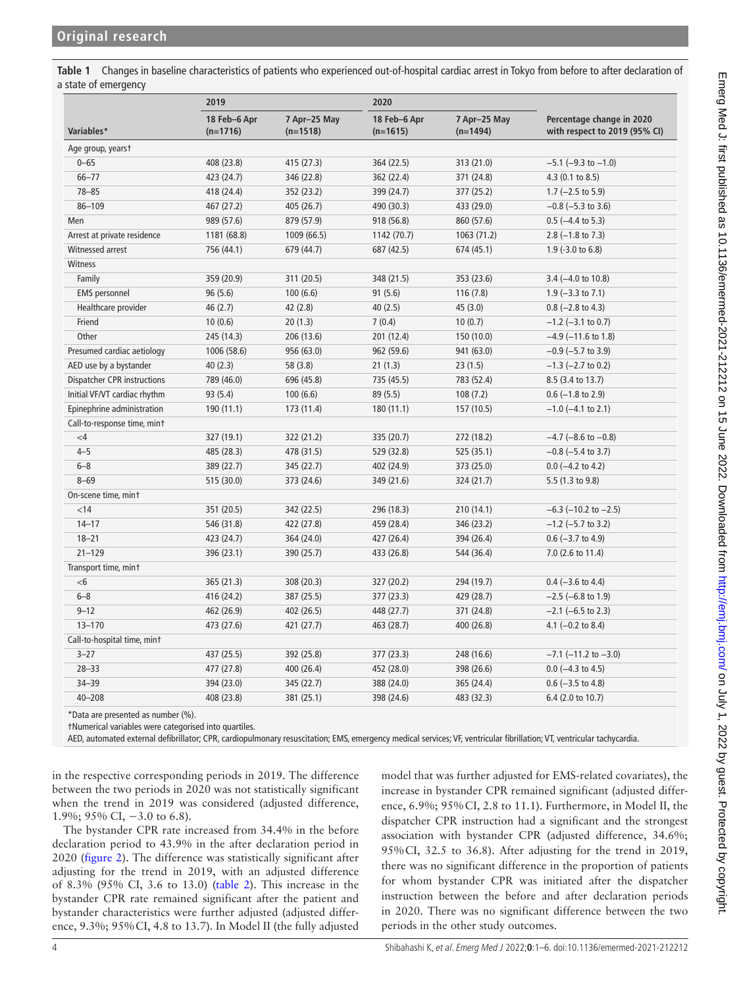<span id="page-3-0"></span>**Table 1** Changes in baseline characteristics of patients who experienced out-of-hospital cardiac arrest in Tokyo from before to after declaration of a state of emergency

|                              | 2019                       |                            | 2020                       |                            |                                                            |  |
|------------------------------|----------------------------|----------------------------|----------------------------|----------------------------|------------------------------------------------------------|--|
| Variables*                   | 18 Feb-6 Apr<br>$(n=1716)$ | 7 Apr-25 May<br>$(n=1518)$ | 18 Feb-6 Apr<br>$(n=1615)$ | 7 Apr-25 May<br>$(n=1494)$ | Percentage change in 2020<br>with respect to 2019 (95% CI) |  |
| Age group, yearst            |                            |                            |                            |                            |                                                            |  |
| $0 - 65$                     | 408 (23.8)                 | 415 (27.3)                 | 364 (22.5)                 | 313 (21.0)                 | $-5.1$ ( $-9.3$ to $-1.0$ )                                |  |
| $66 - 77$                    | 423 (24.7)                 | 346 (22.8)                 | 362 (22.4)                 | 371 (24.8)                 | 4.3 (0.1 to 8.5)                                           |  |
| $78 - 85$                    | 418 (24.4)                 | 352 (23.2)                 | 399 (24.7)                 | 377 (25.2)                 | $1.7$ (-2.5 to 5.9)                                        |  |
| $86 - 109$                   | 467 (27.2)                 | 405 (26.7)                 | 490 (30.3)                 | 433 (29.0)                 | $-0.8$ ( $-5.3$ to 3.6)                                    |  |
| Men                          | 989 (57.6)                 | 879 (57.9)                 | 918 (56.8)                 | 860 (57.6)                 | $0.5$ (-4.4 to 5.3)                                        |  |
| Arrest at private residence  | 1181 (68.8)                | 1009 (66.5)                | 1142 (70.7)                | 1063(71.2)                 | $2.8$ (-1.8 to 7.3)                                        |  |
| Witnessed arrest             | 756 (44.1)                 | 679 (44.7)                 | 687 (42.5)                 | 674 (45.1)                 | $1.9$ (-3.0 to 6.8)                                        |  |
| Witness                      |                            |                            |                            |                            |                                                            |  |
| Family                       | 359 (20.9)                 | 311 (20.5)                 | 348 (21.5)                 | 353 (23.6)                 | 3.4 (-4.0 to 10.8)                                         |  |
| <b>EMS</b> personnel         | 96(5.6)                    | 100(6.6)                   | 91(5.6)                    | 116(7.8)                   | $1.9$ (-3.3 to 7.1)                                        |  |
| Healthcare provider          | 46(2.7)                    | 42 (2.8)                   | 40(2.5)                    | 45(3.0)                    | $0.8$ (-2.8 to 4.3)                                        |  |
| Friend                       | 10(0.6)                    | 20(1.3)                    | 7(0.4)                     | 10(0.7)                    | $-1.2$ ( $-3.1$ to 0.7)                                    |  |
| Other                        | 245 (14.3)                 | 206 (13.6)                 | 201 (12.4)                 | 150 (10.0)                 | $-4.9$ ( $-11.6$ to 1.8)                                   |  |
| Presumed cardiac aetiology   | 1006 (58.6)                | 956 (63.0)                 | 962 (59.6)                 | 941 (63.0)                 | $-0.9$ ( $-5.7$ to 3.9)                                    |  |
| AED use by a bystander       | 40(2.3)                    | 58 (3.8)                   | 21(1.3)                    | 23(1.5)                    | $-1.3$ (-2.7 to 0.2)                                       |  |
| Dispatcher CPR instructions  | 789 (46.0)                 | 696 (45.8)                 | 735 (45.5)                 | 783 (52.4)                 | 8.5 (3.4 to 13.7)                                          |  |
| Initial VF/VT cardiac rhythm | 93 (5.4)                   | 100(6.6)                   | 89 (5.5)                   | 108(7.2)                   | $0.6$ (-1.8 to 2.9)                                        |  |
| Epinephrine administration   | 190(11.1)                  | 173 (11.4)                 | 180(11.1)                  | 157 (10.5)                 | $-1.0$ ( $-4.1$ to 2.1)                                    |  |
| Call-to-response time, mint  |                            |                            |                            |                            |                                                            |  |
| $\leq 4$                     | 327 (19.1)                 | 322 (21.2)                 | 335 (20.7)                 | 272 (18.2)                 | $-4.7$ ( $-8.6$ to $-0.8$ )                                |  |
| $4 - 5$                      | 485 (28.3)                 | 478 (31.5)                 | 529 (32.8)                 | 525 (35.1)                 | $-0.8$ ( $-5.4$ to 3.7)                                    |  |
| $6 - 8$                      | 389 (22.7)                 | 345 (22.7)                 | 402 (24.9)                 | 373 (25.0)                 | $0.0$ (-4.2 to 4.2)                                        |  |
| $8 - 69$                     | 515 (30.0)                 | 373 (24.6)                 | 349 (21.6)                 | 324 (21.7)                 | 5.5 (1.3 to 9.8)                                           |  |
| On-scene time, mint          |                            |                            |                            |                            |                                                            |  |
| < 14                         | 351 (20.5)                 | 342 (22.5)                 | 296 (18.3)                 | 210 (14.1)                 | $-6.3$ ( $-10.2$ to $-2.5$ )                               |  |
| $14 - 17$                    | 546 (31.8)                 | 422 (27.8)                 | 459 (28.4)                 | 346 (23.2)                 | $-1.2$ (-5.7 to 3.2)                                       |  |
| $18 - 21$                    | 423 (24.7)                 | 364 (24.0)                 | 427 (26.4)                 | 394 (26.4)                 | $0.6$ (-3.7 to 4.9)                                        |  |
| $21 - 129$                   | 396 (23.1)                 | 390 (25.7)                 | 433 (26.8)                 | 544 (36.4)                 | 7.0 (2.6 to 11.4)                                          |  |
| Transport time, mint         |                            |                            |                            |                            |                                                            |  |
| $<$ 6                        | 365 (21.3)                 | 308 (20.3)                 | 327 (20.2)                 | 294 (19.7)                 | $0.4$ (-3.6 to 4.4)                                        |  |
| $6 - 8$                      | 416 (24.2)                 | 387 (25.5)                 | 377 (23.3)                 | 429 (28.7)                 | $-2.5$ (-6.8 to 1.9)                                       |  |
| $9 - 12$                     | 462 (26.9)                 | 402 (26.5)                 | 448 (27.7)                 | 371 (24.8)                 | $-2.1$ (-6.5 to 2.3)                                       |  |
| $13 - 170$                   | 473 (27.6)                 | 421 (27.7)                 | 463 (28.7)                 | 400 (26.8)                 | 4.1 $(-0.2$ to 8.4)                                        |  |
| Call-to-hospital time, mint  |                            |                            |                            |                            |                                                            |  |
| $3 - 27$                     | 437 (25.5)                 | 392 (25.8)                 | 377 (23.3)                 | 248 (16.6)                 | $-7.1$ ( $-11.2$ to $-3.0$ )                               |  |
| $28 - 33$                    | 477 (27.8)                 | 400 (26.4)                 | 452 (28.0)                 | 398 (26.6)                 | $0.0$ (-4.3 to 4.5)                                        |  |
| $34 - 39$                    | 394 (23.0)                 | 345 (22.7)                 | 388 (24.0)                 | 365 (24.4)                 | $0.6$ (-3.5 to 4.8)                                        |  |
| $40 - 208$                   | 408 (23.8)                 | 381 (25.1)                 | 398 (24.6)                 | 483 (32.3)                 | 6.4 (2.0 to 10.7)                                          |  |

\*Data are presented as number (%).

†Numerical variables were categorised into quartiles.

AED, automated external defibrillator; CPR, cardiopulmonary resuscitation; EMS, emergency medical services; VF, ventricular fibrillation; VT, ventricular tachycardia.

in the respective corresponding periods in 2019. The difference between the two periods in 2020 was not statistically significant when the trend in 2019 was considered (adjusted difference, 1.9%; 95% CI, −3.0 to 6.8).

The bystander CPR rate increased from 34.4% in the before declaration period to 43.9% in the after declaration period in 2020 ([figure](#page-2-0) 2). The difference was statistically significant after adjusting for the trend in 2019, with an adjusted difference of 8.3% (95% CI, 3.6 to 13.0) ([table](#page-4-0) 2). This increase in the bystander CPR rate remained significant after the patient and bystander characteristics were further adjusted (adjusted difference, 9.3%; 95%CI, 4.8 to 13.7). In Model II (the fully adjusted

model that was further adjusted for EMS-related covariates), the increase in bystander CPR remained significant (adjusted difference, 6.9%; 95%CI, 2.8 to 11.1). Furthermore, in Model II, the dispatcher CPR instruction had a significant and the strongest association with bystander CPR (adjusted difference, 34.6%; 95%CI, 32.5 to 36.8). After adjusting for the trend in 2019, there was no significant difference in the proportion of patients for whom bystander CPR was initiated after the dispatcher instruction between the before and after declaration periods in 2020. There was no significant difference between the two periods in the other study outcomes.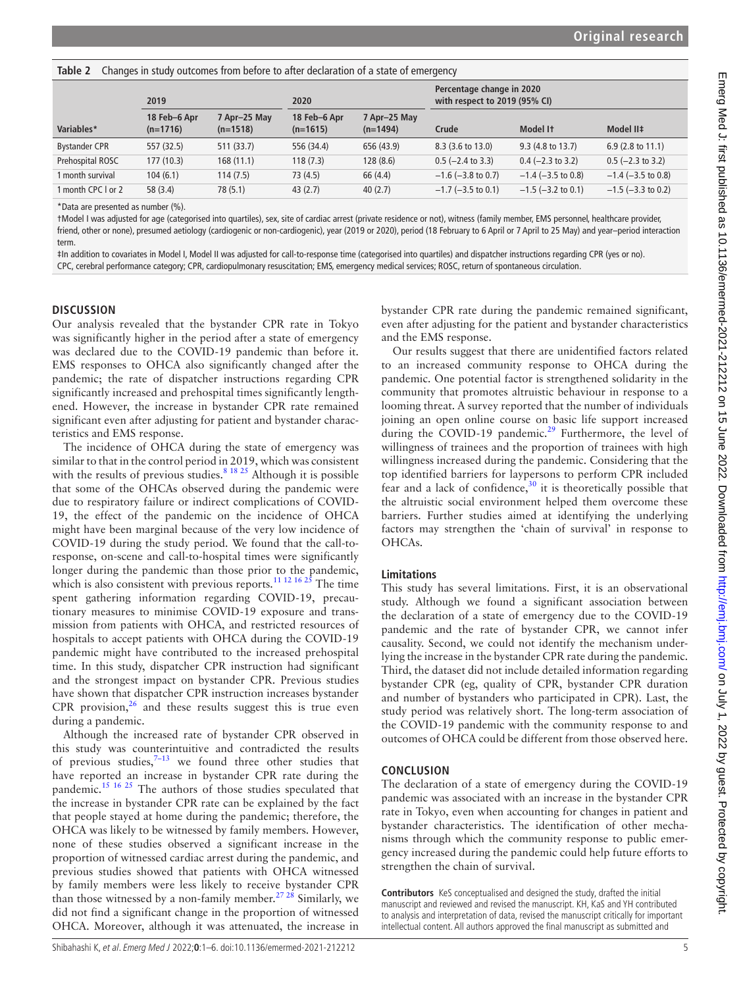<span id="page-4-0"></span>**Table 2** Changes in study outcomes from before to after declaration of a state of emergency

|                      | 2019                       |                            | 2020                       |                            | Percentage change in 2020<br>with respect to 2019 (95% CI) |                         |                              |
|----------------------|----------------------------|----------------------------|----------------------------|----------------------------|------------------------------------------------------------|-------------------------|------------------------------|
| Variables*           | 18 Feb-6 Apr<br>$(n=1716)$ | 7 Apr-25 May<br>$(n=1518)$ | 18 Feb-6 Apr<br>$(n=1615)$ | 7 Apr-25 May<br>$(n=1494)$ | Crude                                                      | Model It                | Model II‡                    |
| <b>Bystander CPR</b> | 557 (32.5)                 | 511 (33.7)                 | 556 (34.4)                 | 656 (43.9)                 | 8.3 (3.6 to 13.0)                                          | 9.3 (4.8 to 13.7)       | 6.9 $(2.8 \text{ to } 11.1)$ |
| Prehospital ROSC     | 177(10.3)                  | 168(11.1)                  | 118 (7.3)                  | 128(8.6)                   | $0.5$ (-2.4 to 3.3)                                        | $0.4$ (-2.3 to 3.2)     | $0.5$ (-2.3 to 3.2)          |
| 1 month survival     | 104(6.1)                   | 114(7.5)                   | 73 (4.5)                   | 66 (4.4)                   | $-1.6$ ( $-3.8$ to 0.7)                                    | $-1.4$ ( $-3.5$ to 0.8) | $-1.4$ ( $-3.5$ to 0.8)      |
| 1 month CPC I or 2   | 58 (3.4)                   | 78 (5.1)                   | 43(2.7)                    | 40(2.7)                    | $-1.7$ ( $-3.5$ to 0.1)                                    | $-1.5$ ( $-3.2$ to 0.1) | $-1.5$ ( $-3.3$ to 0.2)      |
|                      |                            |                            |                            |                            |                                                            |                         |                              |

\*Data are presented as number (%).

†Model I was adjusted for age (categorised into quartiles), sex, site of cardiac arrest (private residence or not), witness (family member, EMS personnel, healthcare provider, friend, other or none), presumed aetiology (cardiogenic or non-cardiogenic), year (2019 or 2020), period (18 February to 6 April or 7 April to 25 May) and year–period interaction term.

‡In addition to covariates in Model I, Model II was adjusted for call-to-response time (categorised into quartiles) and dispatcher instructions regarding CPR (yes or no). CPC, cerebral performance category; CPR, cardiopulmonary resuscitation; EMS, emergency medical services; ROSC, return of spontaneous circulation.

#### **DISCUSSION**

Our analysis revealed that the bystander CPR rate in Tokyo was significantly higher in the period after a state of emergency was declared due to the COVID-19 pandemic than before it. EMS responses to OHCA also significantly changed after the pandemic; the rate of dispatcher instructions regarding CPR significantly increased and prehospital times significantly lengthened. However, the increase in bystander CPR rate remained significant even after adjusting for patient and bystander characteristics and EMS response.

The incidence of OHCA during the state of emergency was similar to that in the control period in 2019, which was consistent with the results of previous studies.<sup>8 18 25</sup> Although it is possible that some of the OHCAs observed during the pandemic were due to respiratory failure or indirect complications of COVID-19, the effect of the pandemic on the incidence of OHCA might have been marginal because of the very low incidence of COVID-19 during the study period. We found that the call-toresponse, on-scene and call-to-hospital times were significantly longer during the pandemic than those prior to the pandemic, which is also consistent with previous reports.<sup>[11 12 16 25](#page-5-10)</sup> The time spent gathering information regarding COVID-19, precautionary measures to minimise COVID-19 exposure and transmission from patients with OHCA, and restricted resources of hospitals to accept patients with OHCA during the COVID-19 pandemic might have contributed to the increased prehospital time. In this study, dispatcher CPR instruction had significant and the strongest impact on bystander CPR. Previous studies have shown that dispatcher CPR instruction increases bystander CPR provision, $26$  and these results suggest this is true even during a pandemic.

Although the increased rate of bystander CPR observed in this study was counterintuitive and contradicted the results of previous studies, $7-13$  we found three other studies that have reported an increase in bystander CPR rate during the pandemic.[15 16 25](#page-5-12) The authors of those studies speculated that the increase in bystander CPR rate can be explained by the fact that people stayed at home during the pandemic; therefore, the OHCA was likely to be witnessed by family members. However, none of these studies observed a significant increase in the proportion of witnessed cardiac arrest during the pandemic, and previous studies showed that patients with OHCA witnessed by family members were less likely to receive bystander CPR than those witnessed by a non-family member.<sup>27,28</sup> Similarly, we did not find a significant change in the proportion of witnessed OHCA. Moreover, although it was attenuated, the increase in

bystander CPR rate during the pandemic remained significant, even after adjusting for the patient and bystander characteristics and the EMS response.

Our results suggest that there are unidentified factors related to an increased community response to OHCA during the pandemic. One potential factor is strengthened solidarity in the community that promotes altruistic behaviour in response to a looming threat. A survey reported that the number of individuals joining an open online course on basic life support increased during the COVID-19 pandemic.<sup>29</sup> Furthermore, the level of willingness of trainees and the proportion of trainees with high willingness increased during the pandemic. Considering that the top identified barriers for laypersons to perform CPR included fear and a lack of confidence,  $30$  it is theoretically possible that the altruistic social environment helped them overcome these barriers. Further studies aimed at identifying the underlying factors may strengthen the 'chain of survival' in response to OHCAs.

#### **Limitations**

This study has several limitations. First, it is an observational study. Although we found a significant association between the declaration of a state of emergency due to the COVID-19 pandemic and the rate of bystander CPR, we cannot infer causality. Second, we could not identify the mechanism underlying the increase in the bystander CPR rate during the pandemic. Third, the dataset did not include detailed information regarding bystander CPR (eg, quality of CPR, bystander CPR duration and number of bystanders who participated in CPR). Last, the study period was relatively short. The long-term association of the COVID-19 pandemic with the community response to and outcomes of OHCA could be different from those observed here.

#### **CONCLUSION**

The declaration of a state of emergency during the COVID-19 pandemic was associated with an increase in the bystander CPR rate in Tokyo, even when accounting for changes in patient and bystander characteristics. The identification of other mechanisms through which the community response to public emergency increased during the pandemic could help future efforts to strengthen the chain of survival.

**Contributors** KeS conceptualised and designed the study, drafted the initial manuscript and reviewed and revised the manuscript. KH, KaS and YH contributed to analysis and interpretation of data, revised the manuscript critically for important intellectual content. All authors approved the final manuscript as submitted and